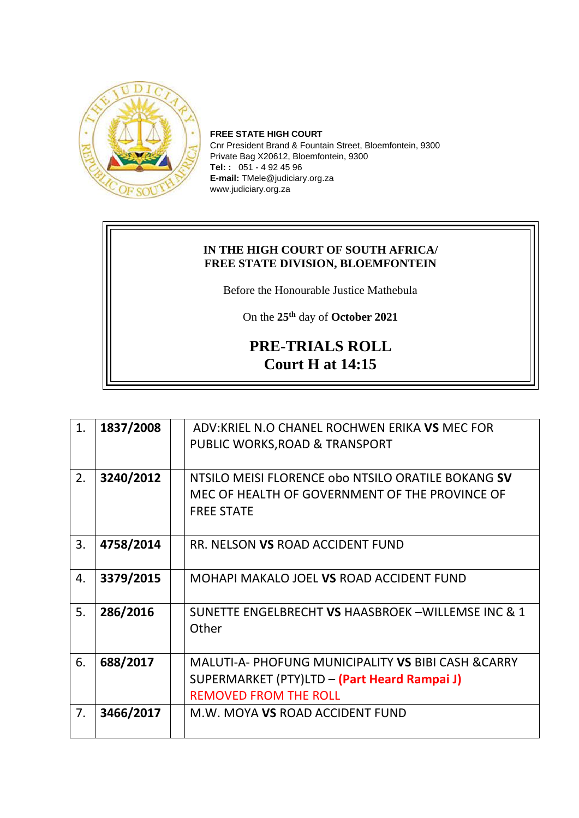

**FREE STATE HIGH COURT** Cnr President Brand & Fountain Street, Bloemfontein, 9300 Private Bag X20612, Bloemfontein, 9300 **Tel: :** 051 - 4 92 45 96 **E-mail:** TMele@judiciary.org.za www.judiciary.org.za

## **IN THE HIGH COURT OF SOUTH AFRICA/ FREE STATE DIVISION, BLOEMFONTEIN**

Before the Honourable Justice Mathebula

On the **25th** day of **October 2021**

## **PRE-TRIALS ROLL Court H at 14:15**

| 1. | 1837/2008 | ADV:KRIEL N.O CHANEL ROCHWEN ERIKA VS MEC FOR       |
|----|-----------|-----------------------------------------------------|
|    |           | PUBLIC WORKS, ROAD & TRANSPORT                      |
|    |           |                                                     |
| 2. | 3240/2012 | NTSILO MEISI FLORENCE obo NTSILO ORATILE BOKANG SV  |
|    |           | MEC OF HEALTH OF GOVERNMENT OF THE PROVINCE OF      |
|    |           | <b>FREE STATE</b>                                   |
|    |           |                                                     |
| 3. | 4758/2014 | RR. NELSON VS ROAD ACCIDENT FUND                    |
|    |           |                                                     |
| 4. | 3379/2015 | MOHAPI MAKALO JOEL VS ROAD ACCIDENT FUND            |
|    |           |                                                     |
| 5. | 286/2016  | SUNETTE ENGELBRECHT VS HAASBROEK-WILLEMSE INC & 1   |
|    |           | Other                                               |
|    |           |                                                     |
| 6. | 688/2017  | MALUTI-A- PHOFUNG MUNICIPALITY VS BIBI CASH & CARRY |
|    |           | SUPERMARKET (PTY)LTD - (Part Heard Rampai J)        |
|    |           | <b>REMOVED FROM THE ROLL</b>                        |
| 7. | 3466/2017 | M.W. MOYA VS ROAD ACCIDENT FUND                     |
|    |           |                                                     |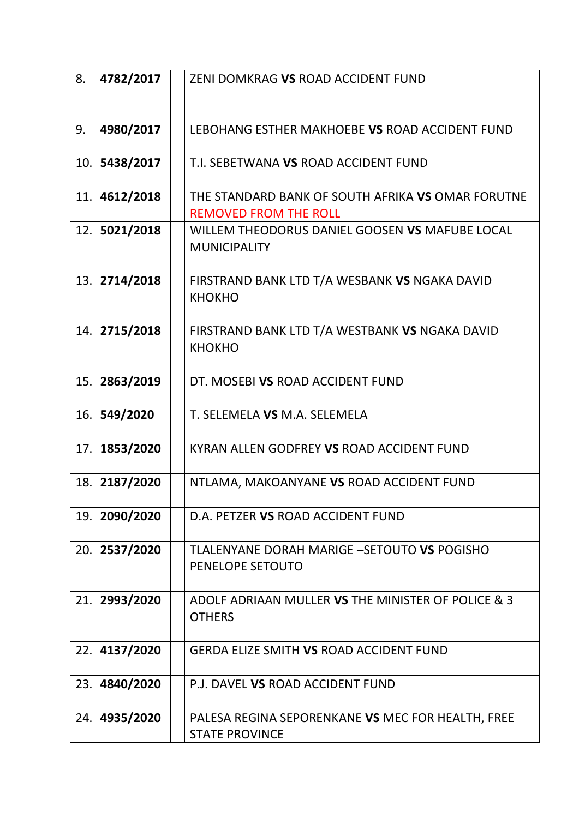| 8.  | 4782/2017 | ZENI DOMKRAG VS ROAD ACCIDENT FUND                                                |
|-----|-----------|-----------------------------------------------------------------------------------|
|     |           |                                                                                   |
| 9.  | 4980/2017 | LEBOHANG ESTHER MAKHOEBE VS ROAD ACCIDENT FUND                                    |
| 10. | 5438/2017 | T.I. SEBETWANA VS ROAD ACCIDENT FUND                                              |
| 11. | 4612/2018 | THE STANDARD BANK OF SOUTH AFRIKA VS OMAR FORUTNE<br><b>REMOVED FROM THE ROLL</b> |
| 12. | 5021/2018 | WILLEM THEODORUS DANIEL GOOSEN VS MAFUBE LOCAL<br><b>MUNICIPALITY</b>             |
| 13. | 2714/2018 | FIRSTRAND BANK LTD T/A WESBANK VS NGAKA DAVID<br><b>KHOKHO</b>                    |
| 14. | 2715/2018 | FIRSTRAND BANK LTD T/A WESTBANK VS NGAKA DAVID<br><b>KHOKHO</b>                   |
| 15. | 2863/2019 | DT. MOSEBI VS ROAD ACCIDENT FUND                                                  |
| 16. | 549/2020  | T. SELEMELA VS M.A. SELEMELA                                                      |
| 17. | 1853/2020 | KYRAN ALLEN GODFREY VS ROAD ACCIDENT FUND                                         |
| 18. | 2187/2020 | NTLAMA, MAKOANYANE VS ROAD ACCIDENT FUND                                          |
| 19. | 2090/2020 | D.A. PETZER VS ROAD ACCIDENT FUND                                                 |
| 20. | 2537/2020 | TLALENYANE DORAH MARIGE - SETOUTO VS POGISHO<br>PENELOPE SETOUTO                  |
| 21. | 2993/2020 | ADOLF ADRIAAN MULLER VS THE MINISTER OF POLICE & 3<br><b>OTHERS</b>               |
| 22. | 4137/2020 | <b>GERDA ELIZE SMITH VS ROAD ACCIDENT FUND</b>                                    |
| 23. | 4840/2020 | P.J. DAVEL VS ROAD ACCIDENT FUND                                                  |
| 24. | 4935/2020 | PALESA REGINA SEPORENKANE VS MEC FOR HEALTH, FREE<br><b>STATE PROVINCE</b>        |